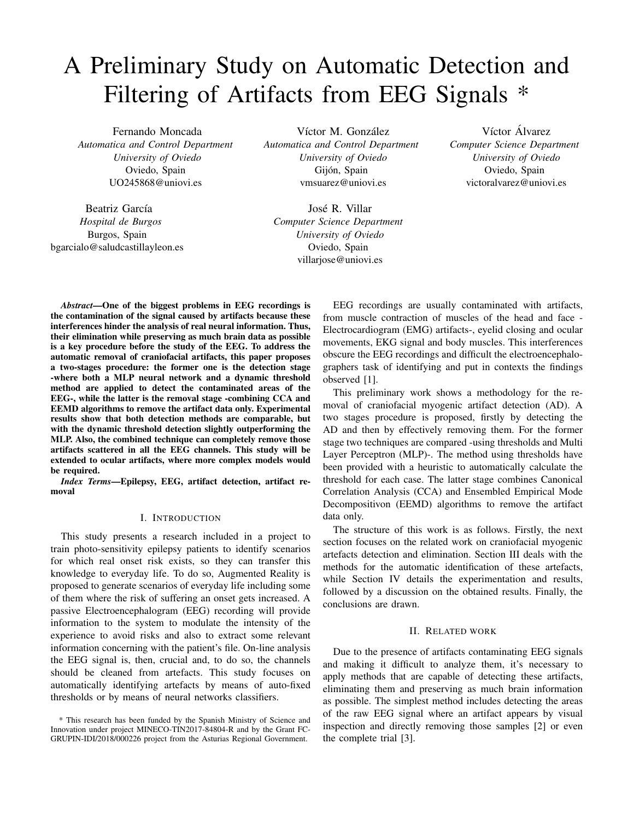# A Preliminary Study on Automatic Detection and Filtering of Artifacts from EEG Signals \*

Fernando Moncada *Automatica and Control Department University of Oviedo* Oviedo, Spain UO245868@uniovi.es

Beatriz García *Hospital de Burgos* Burgos, Spain bgarcialo@saludcastillayleon.es

Víctor M. González *Automatica and Control Department University of Oviedo* Gijón, Spain vmsuarez@uniovi.es

José R. Villar *Computer Science Department University of Oviedo* Oviedo, Spain villarjose@uniovi.es

Víctor Álvarez *Computer Science Department University of Oviedo* Oviedo, Spain victoralvarez@uniovi.es

*Abstract*—One of the biggest problems in EEG recordings is the contamination of the signal caused by artifacts because these interferences hinder the analysis of real neural information. Thus, their elimination while preserving as much brain data as possible is a key procedure before the study of the EEG. To address the automatic removal of craniofacial artifacts, this paper proposes a two-stages procedure: the former one is the detection stage -where both a MLP neural network and a dynamic threshold method are applied to detect the contaminated areas of the EEG-, while the latter is the removal stage -combining CCA and EEMD algorithms to remove the artifact data only. Experimental results show that both detection methods are comparable, but with the dynamic threshold detection slightly outperforming the MLP. Also, the combined technique can completely remove those artifacts scattered in all the EEG channels. This study will be extended to ocular artifacts, where more complex models would be required.

*Index Terms*—Epilepsy, EEG, artifact detection, artifact removal

## I. INTRODUCTION

This study presents a research included in a project to train photo-sensitivity epilepsy patients to identify scenarios for which real onset risk exists, so they can transfer this knowledge to everyday life. To do so, Augmented Reality is proposed to generate scenarios of everyday life including some of them where the risk of suffering an onset gets increased. A passive Electroencephalogram (EEG) recording will provide information to the system to modulate the intensity of the experience to avoid risks and also to extract some relevant information concerning with the patient's file. On-line analysis the EEG signal is, then, crucial and, to do so, the channels should be cleaned from artefacts. This study focuses on automatically identifying artefacts by means of auto-fixed thresholds or by means of neural networks classifiers.

EEG recordings are usually contaminated with artifacts, from muscle contraction of muscles of the head and face - Electrocardiogram (EMG) artifacts-, eyelid closing and ocular movements, EKG signal and body muscles. This interferences obscure the EEG recordings and difficult the electroencephalographers task of identifying and put in contexts the findings observed [1].

This preliminary work shows a methodology for the removal of craniofacial myogenic artifact detection (AD). A two stages procedure is proposed, firstly by detecting the AD and then by effectively removing them. For the former stage two techniques are compared -using thresholds and Multi Layer Perceptron (MLP)-. The method using thresholds have been provided with a heuristic to automatically calculate the threshold for each case. The latter stage combines Canonical Correlation Analysis (CCA) and Ensembled Empirical Mode Decompositivon (EEMD) algorithms to remove the artifact data only.

The structure of this work is as follows. Firstly, the next section focuses on the related work on craniofacial myogenic artefacts detection and elimination. Section III deals with the methods for the automatic identification of these artefacts, while Section IV details the experimentation and results, followed by a discussion on the obtained results. Finally, the conclusions are drawn.

## II. RELATED WORK

Due to the presence of artifacts contaminating EEG signals and making it difficult to analyze them, it's necessary to apply methods that are capable of detecting these artifacts, eliminating them and preserving as much brain information as possible. The simplest method includes detecting the areas of the raw EEG signal where an artifact appears by visual inspection and directly removing those samples [2] or even the complete trial [3].

<sup>\*</sup> This research has been funded by the Spanish Ministry of Science and Innovation under project MINECO-TIN2017-84804-R and by the Grant FC-GRUPIN-IDI/2018/000226 project from the Asturias Regional Government.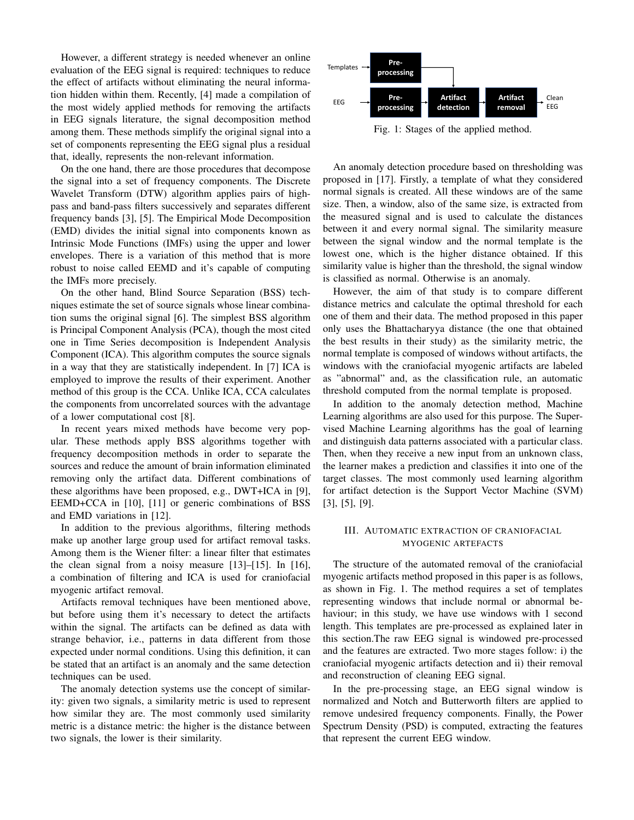However, a different strategy is needed whenever an online evaluation of the EEG signal is required: techniques to reduce the effect of artifacts without eliminating the neural information hidden within them. Recently, [4] made a compilation of the most widely applied methods for removing the artifacts in EEG signals literature, the signal decomposition method among them. These methods simplify the original signal into a set of components representing the EEG signal plus a residual that, ideally, represents the non-relevant information.

On the one hand, there are those procedures that decompose the signal into a set of frequency components. The Discrete Wavelet Transform (DTW) algorithm applies pairs of highpass and band-pass filters successively and separates different frequency bands [3], [5]. The Empirical Mode Decomposition (EMD) divides the initial signal into components known as Intrinsic Mode Functions (IMFs) using the upper and lower envelopes. There is a variation of this method that is more robust to noise called EEMD and it's capable of computing the IMFs more precisely.

On the other hand, Blind Source Separation (BSS) techniques estimate the set of source signals whose linear combination sums the original signal [6]. The simplest BSS algorithm is Principal Component Analysis (PCA), though the most cited one in Time Series decomposition is Independent Analysis Component (ICA). This algorithm computes the source signals in a way that they are statistically independent. In [7] ICA is employed to improve the results of their experiment. Another method of this group is the CCA. Unlike ICA, CCA calculates the components from uncorrelated sources with the advantage of a lower computational cost [8].

In recent years mixed methods have become very popular. These methods apply BSS algorithms together with frequency decomposition methods in order to separate the sources and reduce the amount of brain information eliminated removing only the artifact data. Different combinations of these algorithms have been proposed, e.g., DWT+ICA in [9], EEMD+CCA in [10], [11] or generic combinations of BSS and EMD variations in [12].

In addition to the previous algorithms, filtering methods make up another large group used for artifact removal tasks. Among them is the Wiener filter: a linear filter that estimates the clean signal from a noisy measure [13]–[15]. In [16], a combination of filtering and ICA is used for craniofacial myogenic artifact removal.

Artifacts removal techniques have been mentioned above, but before using them it's necessary to detect the artifacts within the signal. The artifacts can be defined as data with strange behavior, i.e., patterns in data different from those expected under normal conditions. Using this definition, it can be stated that an artifact is an anomaly and the same detection techniques can be used.

The anomaly detection systems use the concept of similarity: given two signals, a similarity metric is used to represent how similar they are. The most commonly used similarity metric is a distance metric: the higher is the distance between two signals, the lower is their similarity.



Fig. 1: Stages of the applied method.

An anomaly detection procedure based on thresholding was proposed in [17]. Firstly, a template of what they considered normal signals is created. All these windows are of the same size. Then, a window, also of the same size, is extracted from the measured signal and is used to calculate the distances between it and every normal signal. The similarity measure between the signal window and the normal template is the lowest one, which is the higher distance obtained. If this similarity value is higher than the threshold, the signal window is classified as normal. Otherwise is an anomaly.

However, the aim of that study is to compare different distance metrics and calculate the optimal threshold for each one of them and their data. The method proposed in this paper only uses the Bhattacharyya distance (the one that obtained the best results in their study) as the similarity metric, the normal template is composed of windows without artifacts, the windows with the craniofacial myogenic artifacts are labeled as "abnormal" and, as the classification rule, an automatic threshold computed from the normal template is proposed.

In addition to the anomaly detection method, Machine Learning algorithms are also used for this purpose. The Supervised Machine Learning algorithms has the goal of learning and distinguish data patterns associated with a particular class. Then, when they receive a new input from an unknown class, the learner makes a prediction and classifies it into one of the target classes. The most commonly used learning algorithm for artifact detection is the Support Vector Machine (SVM) [3], [5], [9].

## III. AUTOMATIC EXTRACTION OF CRANIOFACIAL MYOGENIC ARTEFACTS

The structure of the automated removal of the craniofacial myogenic artifacts method proposed in this paper is as follows, as shown in Fig. 1. The method requires a set of templates representing windows that include normal or abnormal behaviour; in this study, we have use windows with 1 second length. This templates are pre-processed as explained later in this section.The raw EEG signal is windowed pre-processed and the features are extracted. Two more stages follow: i) the craniofacial myogenic artifacts detection and ii) their removal and reconstruction of cleaning EEG signal.

In the pre-processing stage, an EEG signal window is normalized and Notch and Butterworth filters are applied to remove undesired frequency components. Finally, the Power Spectrum Density (PSD) is computed, extracting the features that represent the current EEG window.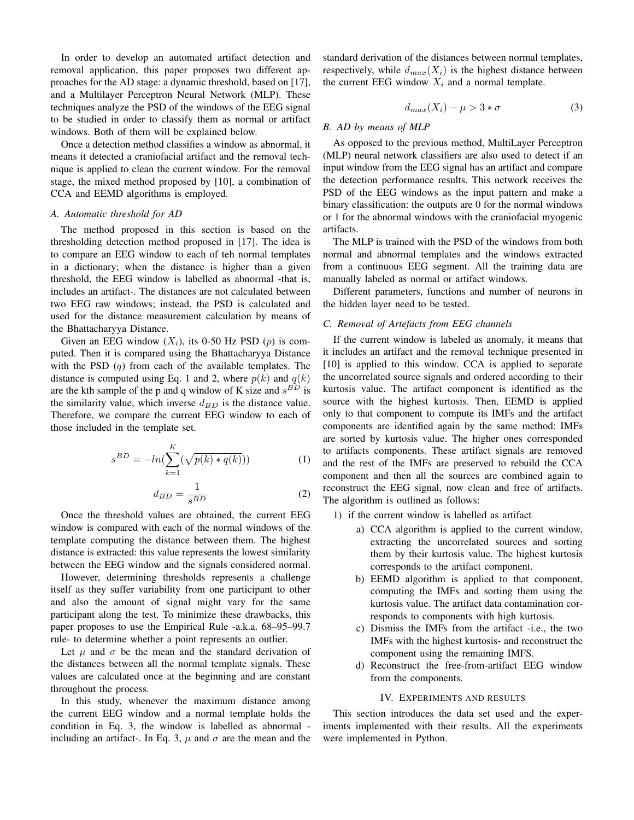In order to develop an automated artifact detection and removal application, this paper proposes two different approaches for the AD stage: a dynamic threshold, based on [17], and a Multilayer Perceptron Neural Network (MLP). These techniques analyze the PSD of the windows of the EEG signal to be studied in order to classify them as normal or artifact windows. Both of them will be explained below.

Once a detection method classifies a window as abnormal, it means it detected a craniofacial artifact and the removal technique is applied to clean the current window. For the removal stage, the mixed method proposed by [10], a combination of CCA and EEMD algorithms is employed.

## *A. Automatic threshold for AD*

The method proposed in this section is based on the thresholding detection method proposed in [17]. The idea is to compare an EEG window to each of teh normal templates in a dictionary; when the distance is higher than a given threshold, the EEG window is labelled as abnormal -that is, includes an artifact-. The distances are not calculated between two EEG raw windows; instead, the PSD is calculated and used for the distance measurement calculation by means of the Bhattacharyya Distance.

Given an EEG window  $(X_i)$ , its 0-50 Hz PSD  $(p)$  is computed. Then it is compared using the Bhattacharyya Distance with the PSD  $(q)$  from each of the available templates. The distance is computed using Eq. 1 and 2, where  $p(k)$  and  $q(k)$ are the kth sample of the p and q window of K size and  $s^{BD}$  is the similarity value, which inverse  $d_{BD}$  is the distance value. Therefore, we compare the current EEG window to each of those included in the template set.

$$
s^{BD} = -\ln(\sum_{k=1}^{K} (\sqrt{p(k) * q(k)}))
$$
 (1)

$$
d_{BD} = \frac{1}{s^{BD}}\tag{2}
$$

Once the threshold values are obtained, the current EEG window is compared with each of the normal windows of the template computing the distance between them. The highest distance is extracted: this value represents the lowest similarity between the EEG window and the signals considered normal.

However, determining thresholds represents a challenge itself as they suffer variability from one participant to other and also the amount of signal might vary for the same participant along the test. To minimize these drawbacks, this paper proposes to use the Empirical Rule -a.k.a. 68–95–99.7 rule- to determine whether a point represents an outlier.

Let  $\mu$  and  $\sigma$  be the mean and the standard derivation of the distances between all the normal template signals. These values are calculated once at the beginning and are constant throughout the process.

In this study, whenever the maximum distance among the current EEG window and a normal template holds the condition in Eq. 3, the window is labelled as abnormal including an artifact-. In Eq. 3,  $\mu$  and  $\sigma$  are the mean and the standard derivation of the distances between normal templates, respectively, while  $d_{max}(X_i)$  is the highest distance between the current EEG window  $X_i$  and a normal template.

$$
d_{max}(X_i) - \mu > 3 * \sigma \tag{3}
$$

## *B. AD by means of MLP*

As opposed to the previous method, MultiLayer Perceptron (MLP) neural network classifiers are also used to detect if an input window from the EEG signal has an artifact and compare the detection performance results. This network receives the PSD of the EEG windows as the input pattern and make a binary classification: the outputs are 0 for the normal windows or 1 for the abnormal windows with the craniofacial myogenic artifacts.

The MLP is trained with the PSD of the windows from both normal and abnormal templates and the windows extracted from a continuous EEG segment. All the training data are manually labeled as normal or artifact windows.

Different parameters, functions and number of neurons in the hidden layer need to be tested.

# *C. Removal of Artefacts from EEG channels*

If the current window is labeled as anomaly, it means that it includes an artifact and the removal technique presented in [10] is applied to this window. CCA is applied to separate the uncorrelated source signals and ordered according to their kurtosis value. The artifact component is identified as the source with the highest kurtosis. Then, EEMD is applied only to that component to compute its IMFs and the artifact components are identified again by the same method: IMFs are sorted by kurtosis value. The higher ones corresponded to artifacts components. These artifact signals are removed and the rest of the IMFs are preserved to rebuild the CCA component and then all the sources are combined again to reconstruct the EEG signal, now clean and free of artifacts. The algorithm is outlined as follows:

- 1) if the current window is labelled as artifact
	- a) CCA algorithm is applied to the current window, extracting the uncorrelated sources and sorting them by their kurtosis value. The highest kurtosis corresponds to the artifact component.
	- b) EEMD algorithm is applied to that component, computing the IMFs and sorting them using the kurtosis value. The artifact data contamination corresponds to components with high kurtosis.
	- c) Dismiss the IMFs from the artifact -i.e., the two IMFs with the highest kurtosis- and reconstruct the component using the remaining IMFS.
	- d) Reconstruct the free-from-artifact EEG window from the components.

#### IV. EXPERIMENTS AND RESULTS

This section introduces the data set used and the experiments implemented with their results. All the experiments were implemented in Python.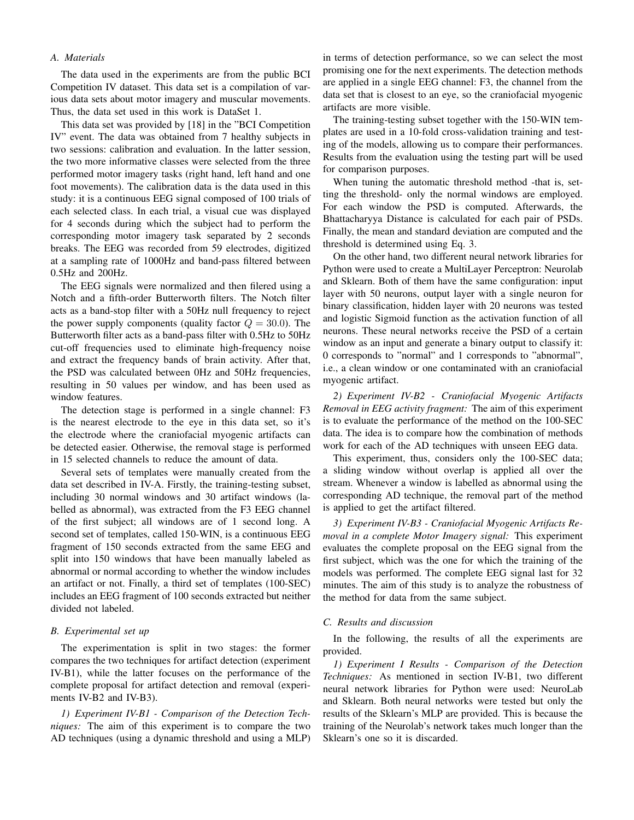# *A. Materials*

The data used in the experiments are from the public BCI Competition IV dataset. This data set is a compilation of various data sets about motor imagery and muscular movements. Thus, the data set used in this work is DataSet 1.

This data set was provided by [18] in the "BCI Competition IV" event. The data was obtained from 7 healthy subjects in two sessions: calibration and evaluation. In the latter session, the two more informative classes were selected from the three performed motor imagery tasks (right hand, left hand and one foot movements). The calibration data is the data used in this study: it is a continuous EEG signal composed of 100 trials of each selected class. In each trial, a visual cue was displayed for 4 seconds during which the subject had to perform the corresponding motor imagery task separated by 2 seconds breaks. The EEG was recorded from 59 electrodes, digitized at a sampling rate of 1000Hz and band-pass filtered between 0.5Hz and 200Hz.

The EEG signals were normalized and then filered using a Notch and a fifth-order Butterworth filters. The Notch filter acts as a band-stop filter with a 50Hz null frequency to reject the power supply components (quality factor  $Q = 30.0$ ). The Butterworth filter acts as a band-pass filter with 0.5Hz to 50Hz cut-off frequencies used to eliminate high-frequency noise and extract the frequency bands of brain activity. After that, the PSD was calculated between 0Hz and 50Hz frequencies, resulting in 50 values per window, and has been used as window features.

The detection stage is performed in a single channel: F3 is the nearest electrode to the eye in this data set, so it's the electrode where the craniofacial myogenic artifacts can be detected easier. Otherwise, the removal stage is performed in 15 selected channels to reduce the amount of data.

Several sets of templates were manually created from the data set described in IV-A. Firstly, the training-testing subset, including 30 normal windows and 30 artifact windows (labelled as abnormal), was extracted from the F3 EEG channel of the first subject; all windows are of 1 second long. A second set of templates, called 150-WIN, is a continuous EEG fragment of 150 seconds extracted from the same EEG and split into 150 windows that have been manually labeled as abnormal or normal according to whether the window includes an artifact or not. Finally, a third set of templates (100-SEC) includes an EEG fragment of 100 seconds extracted but neither divided not labeled.

# *B. Experimental set up*

The experimentation is split in two stages: the former compares the two techniques for artifact detection (experiment IV-B1), while the latter focuses on the performance of the complete proposal for artifact detection and removal (experiments IV-B2 and IV-B3).

*1) Experiment IV-B1 - Comparison of the Detection Techniques:* The aim of this experiment is to compare the two AD techniques (using a dynamic threshold and using a MLP) in terms of detection performance, so we can select the most promising one for the next experiments. The detection methods are applied in a single EEG channel: F3, the channel from the data set that is closest to an eye, so the craniofacial myogenic artifacts are more visible.

The training-testing subset together with the 150-WIN templates are used in a 10-fold cross-validation training and testing of the models, allowing us to compare their performances. Results from the evaluation using the testing part will be used for comparison purposes.

When tuning the automatic threshold method -that is, setting the threshold- only the normal windows are employed. For each window the PSD is computed. Afterwards, the Bhattacharyya Distance is calculated for each pair of PSDs. Finally, the mean and standard deviation are computed and the threshold is determined using Eq. 3.

On the other hand, two different neural network libraries for Python were used to create a MultiLayer Perceptron: Neurolab and Sklearn. Both of them have the same configuration: input layer with 50 neurons, output layer with a single neuron for binary classification, hidden layer with 20 neurons was tested and logistic Sigmoid function as the activation function of all neurons. These neural networks receive the PSD of a certain window as an input and generate a binary output to classify it: 0 corresponds to "normal" and 1 corresponds to "abnormal", i.e., a clean window or one contaminated with an craniofacial myogenic artifact.

*2) Experiment IV-B2 - Craniofacial Myogenic Artifacts Removal in EEG activity fragment:* The aim of this experiment is to evaluate the performance of the method on the 100-SEC data. The idea is to compare how the combination of methods work for each of the AD techniques with unseen EEG data.

This experiment, thus, considers only the 100-SEC data; a sliding window without overlap is applied all over the stream. Whenever a window is labelled as abnormal using the corresponding AD technique, the removal part of the method is applied to get the artifact filtered.

*3) Experiment IV-B3 - Craniofacial Myogenic Artifacts Removal in a complete Motor Imagery signal:* This experiment evaluates the complete proposal on the EEG signal from the first subject, which was the one for which the training of the models was performed. The complete EEG signal last for 32 minutes. The aim of this study is to analyze the robustness of the method for data from the same subject.

### *C. Results and discussion*

In the following, the results of all the experiments are provided.

*1) Experiment I Results - Comparison of the Detection Techniques:* As mentioned in section IV-B1, two different neural network libraries for Python were used: NeuroLab and Sklearn. Both neural networks were tested but only the results of the Sklearn's MLP are provided. This is because the training of the Neurolab's network takes much longer than the Sklearn's one so it is discarded.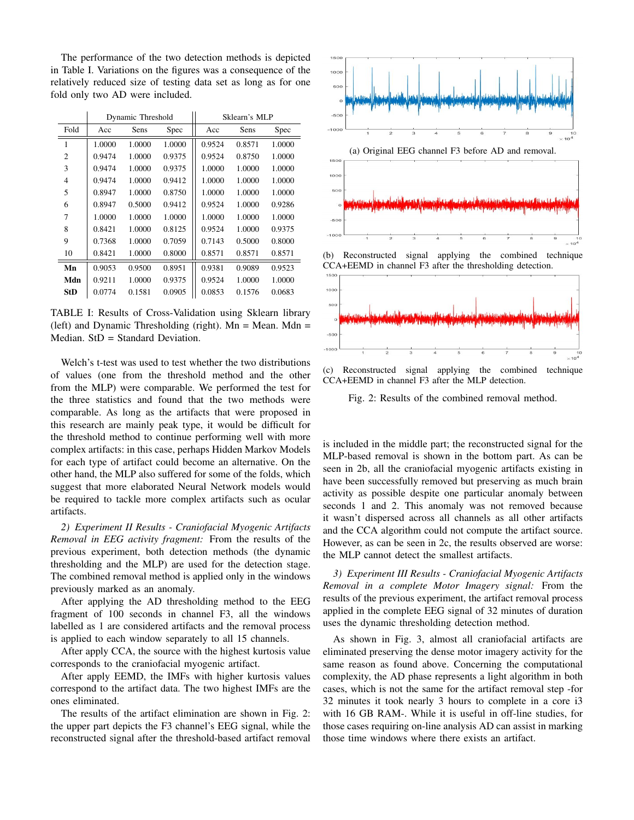The performance of the two detection methods is depicted in Table I. Variations on the figures was a consequence of the relatively reduced size of testing data set as long as for one fold only two AD were included.

|                | Dynamic Threshold |        |        | Sklearn's MLP |        |        |
|----------------|-------------------|--------|--------|---------------|--------|--------|
| Fold           | Acc               | Sens   | Spec   | Acc           | Sens   | Spec   |
| 1              | 1.0000            | 1.0000 | 1.0000 | 0.9524        | 0.8571 | 1.0000 |
| $\overline{c}$ | 0.9474            | 1.0000 | 0.9375 | 0.9524        | 0.8750 | 1.0000 |
| 3              | 0.9474            | 1.0000 | 0.9375 | 1.0000        | 1.0000 | 1.0000 |
| $\overline{4}$ | 0.9474            | 1.0000 | 0.9412 | 1.0000        | 1.0000 | 1.0000 |
| 5              | 0.8947            | 1.0000 | 0.8750 | 1.0000        | 1.0000 | 1.0000 |
| 6              | 0.8947            | 0.5000 | 0.9412 | 0.9524        | 1.0000 | 0.9286 |
| 7              | 1.0000            | 1.0000 | 1.0000 | 1.0000        | 1.0000 | 1.0000 |
| 8              | 0.8421            | 1.0000 | 0.8125 | 0.9524        | 1.0000 | 0.9375 |
| 9              | 0.7368            | 1.0000 | 0.7059 | 0.7143        | 0.5000 | 0.8000 |
| 10             | 0.8421            | 1.0000 | 0.8000 | 0.8571        | 0.8571 | 0.8571 |
| Mn             | 0.9053            | 0.9500 | 0.8951 | 0.9381        | 0.9089 | 0.9523 |
| Mdn            | 0.9211            | 1.0000 | 0.9375 | 0.9524        | 1.0000 | 1.0000 |
| <b>StD</b>     | 0.0774            | 0.1581 | 0.0905 | 0.0853        | 0.1576 | 0.0683 |

TABLE I: Results of Cross-Validation using Sklearn library (left) and Dynamic Thresholding (right).  $Mn = Mean$ . Mdn = Median. StD = Standard Deviation.

Welch's t-test was used to test whether the two distributions of values (one from the threshold method and the other from the MLP) were comparable. We performed the test for the three statistics and found that the two methods were comparable. As long as the artifacts that were proposed in this research are mainly peak type, it would be difficult for the threshold method to continue performing well with more complex artifacts: in this case, perhaps Hidden Markov Models for each type of artifact could become an alternative. On the other hand, the MLP also suffered for some of the folds, which suggest that more elaborated Neural Network models would be required to tackle more complex artifacts such as ocular artifacts.

*2) Experiment II Results - Craniofacial Myogenic Artifacts Removal in EEG activity fragment:* From the results of the previous experiment, both detection methods (the dynamic thresholding and the MLP) are used for the detection stage. The combined removal method is applied only in the windows previously marked as an anomaly.

After applying the AD thresholding method to the EEG fragment of 100 seconds in channel F3, all the windows labelled as 1 are considered artifacts and the removal process is applied to each window separately to all 15 channels.

After apply CCA, the source with the highest kurtosis value corresponds to the craniofacial myogenic artifact.

After apply EEMD, the IMFs with higher kurtosis values correspond to the artifact data. The two highest IMFs are the ones eliminated.

The results of the artifact elimination are shown in Fig. 2: the upper part depicts the F3 channel's EEG signal, while the reconstructed signal after the threshold-based artifact removal





(b) Reconstructed signal applying the combined technique CCA+EEMD in channel F3 after the thresholding detection.



(c) Reconstructed signal applying the combined technique CCA+EEMD in channel F3 after the MLP detection.

Fig. 2: Results of the combined removal method.

is included in the middle part; the reconstructed signal for the MLP-based removal is shown in the bottom part. As can be seen in 2b, all the craniofacial myogenic artifacts existing in have been successfully removed but preserving as much brain activity as possible despite one particular anomaly between seconds 1 and 2. This anomaly was not removed because it wasn't dispersed across all channels as all other artifacts and the CCA algorithm could not compute the artifact source. However, as can be seen in 2c, the results observed are worse: the MLP cannot detect the smallest artifacts.

*3) Experiment III Results - Craniofacial Myogenic Artifacts Removal in a complete Motor Imagery signal:* From the results of the previous experiment, the artifact removal process applied in the complete EEG signal of 32 minutes of duration uses the dynamic thresholding detection method.

As shown in Fig. 3, almost all craniofacial artifacts are eliminated preserving the dense motor imagery activity for the same reason as found above. Concerning the computational complexity, the AD phase represents a light algorithm in both cases, which is not the same for the artifact removal step -for 32 minutes it took nearly 3 hours to complete in a core i3 with 16 GB RAM-. While it is useful in off-line studies, for those cases requiring on-line analysis AD can assist in marking those time windows where there exists an artifact.